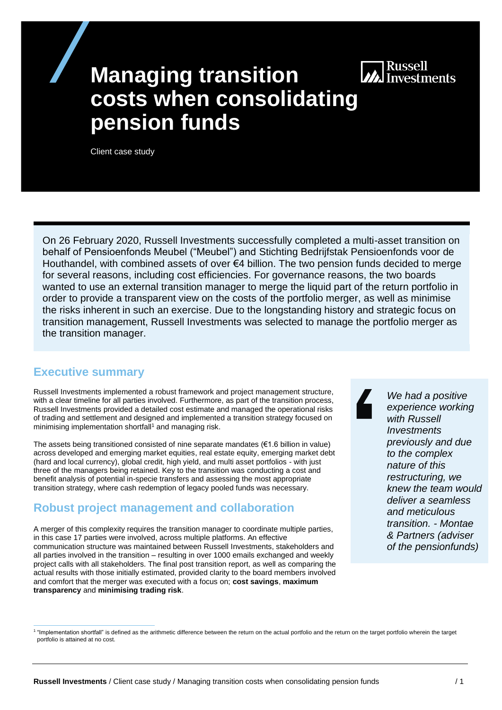# **MA** Russell<br>Ma Investments

# **Managing transition costs when consolidating pension funds**

Client case study

On 26 February 2020, Russell Investments successfully completed a multi-asset transition on behalf of Pensioenfonds Meubel ("Meubel") and Stichting Bedrijfstak Pensioenfonds voor de Houthandel, with combined assets of over €4 billion. The two pension funds decided to merge for several reasons, including cost efficiencies. For governance reasons, the two boards wanted to use an external transition manager to merge the liquid part of the return portfolio in order to provide a transparent view on the costs of the portfolio merger, as well as minimise the risks inherent in such an exercise. Due to the longstanding history and strategic focus on transition management, Russell Investments was selected to manage the portfolio merger as the transition manager.

#### **Executive summary**

Russell Investments implemented a robust framework and project management structure, with a clear timeline for all parties involved. Furthermore, as part of the transition process, Russell Investments provided a detailed cost estimate and managed the operational risks of trading and settlement and designed and implemented a transition strategy focused on minimising implementation shortfall<sup>1</sup> and managing risk.

The assets being transitioned consisted of nine separate mandates  $(€1.6$  billion in value) across developed and emerging market equities, real estate equity, emerging market debt (hard and local currency), global credit, high yield, and multi asset portfolios - with just three of the managers being retained. Key to the transition was conducting a cost and benefit analysis of potential in-specie transfers and assessing the most appropriate transition strategy, where cash redemption of legacy pooled funds was necessary.

#### **Robust project management and collaboration**

A merger of this complexity requires the transition manager to coordinate multiple parties, in this case 17 parties were involved, across multiple platforms. An effective communication structure was maintained between Russell Investments, stakeholders and all parties involved in the transition – resulting in over 1000 emails exchanged and weekly project calls with all stakeholders. The final post transition report, as well as comparing the actual results with those initially estimated, provided clarity to the board members involved and comfort that the merger was executed with a focus on; **cost savings**, **maximum transparency** and **minimising trading risk**.

*We had a positive experience working with Russell Investments previously and due to the complex nature of this restructuring, we knew the team would deliver a seamless and meticulous transition. - Montae & Partners (adviser of the pensionfunds)*

<sup>&</sup>lt;sup>1</sup> "Implementation shortfall" is defined as the arithmetic difference between the return on the actual portfolio and the return on the target portfolio wherein the target portfolio is attained at no cost.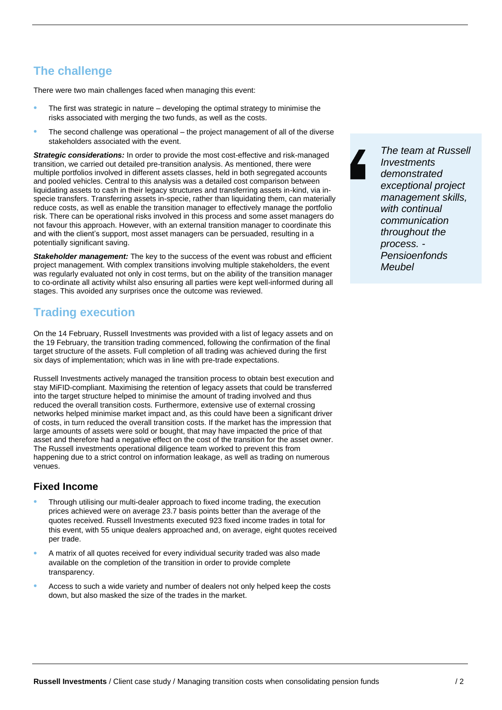# **The challenge**

There were two main challenges faced when managing this event:

- The first was strategic in nature developing the optimal strategy to minimise the risks associated with merging the two funds, as well as the costs.
- The second challenge was operational the project management of all of the diverse stakeholders associated with the event.

*Strategic considerations:* In order to provide the most cost-effective and risk-managed transition, we carried out detailed pre-transition analysis. As mentioned, there were multiple portfolios involved in different assets classes, held in both segregated accounts and pooled vehicles. Central to this analysis was a detailed cost comparison between liquidating assets to cash in their legacy structures and transferring assets in-kind, via inspecie transfers. Transferring assets in-specie, rather than liquidating them, can materially reduce costs, as well as enable the transition manager to effectively manage the portfolio risk. There can be operational risks involved in this process and some asset managers do not favour this approach. However, with an external transition manager to coordinate this and with the client's support, most asset managers can be persuaded, resulting in a potentially significant saving.

*Stakeholder management:* The key to the success of the event was robust and efficient project management. With complex transitions involving multiple stakeholders, the event was regularly evaluated not only in cost terms, but on the ability of the transition manager to co-ordinate all activity whilst also ensuring all parties were kept well-informed during all stages. This avoided any surprises once the outcome was reviewed.

## **Trading execution**

On the 14 February, Russell Investments was provided with a list of legacy assets and on the 19 February, the transition trading commenced, following the confirmation of the final target structure of the assets. Full completion of all trading was achieved during the first six days of implementation; which was in line with pre-trade expectations.

Russell Investments actively managed the transition process to obtain best execution and stay MiFID-compliant. Maximising the retention of legacy assets that could be transferred into the target structure helped to minimise the amount of trading involved and thus reduced the overall transition costs. Furthermore, extensive use of external crossing networks helped minimise market impact and, as this could have been a significant driver of costs, in turn reduced the overall transition costs. If the market has the impression that large amounts of assets were sold or bought, that may have impacted the price of that asset and therefore had a negative effect on the cost of the transition for the asset owner. The Russell investments operational diligence team worked to prevent this from happening due to a strict control on information leakage, as well as trading on numerous venues.

#### **Fixed Income**

- Through utilising our multi-dealer approach to fixed income trading, the execution prices achieved were on average 23.7 basis points better than the average of the quotes received. Russell Investments executed 923 fixed income trades in total for this event, with 55 unique dealers approached and, on average, eight quotes received per trade.
- A matrix of all quotes received for every individual security traded was also made available on the completion of the transition in order to provide complete transparency.
- Access to such a wide variety and number of dealers not only helped keep the costs down, but also masked the size of the trades in the market.

*The team at Russell Investments demonstrated exceptional project management skills, with continual communication throughout the process. - Pensioenfonds Meubel*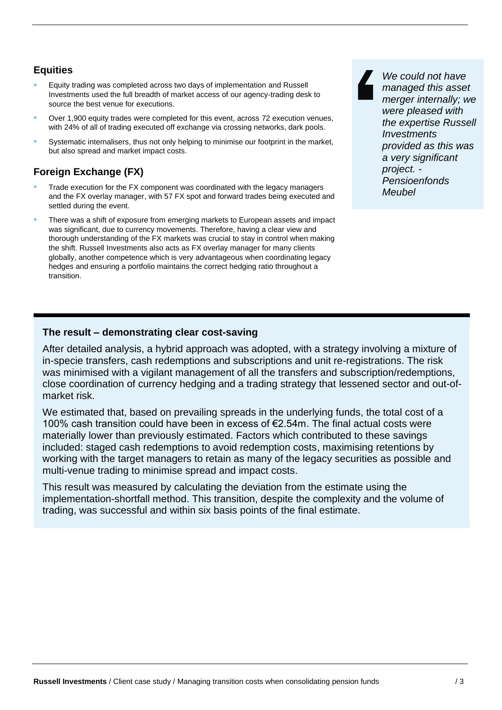#### **Equities**

- Equity trading was completed across two days of implementation and Russell Investments used the full breadth of market access of our agency-trading desk to source the best venue for executions.
- Over 1,900 equity trades were completed for this event, across 72 execution venues, with 24% of all of trading executed off exchange via crossing networks, dark pools.
- Systematic internalisers, thus not only helping to minimise our footprint in the market, but also spread and market impact costs.

#### **Foreign Exchange (FX)**

- Trade execution for the FX component was coordinated with the legacy managers and the FX overlay manager, with 57 FX spot and forward trades being executed and settled during the event.
- There was a shift of exposure from emerging markets to European assets and impact was significant, due to currency movements. Therefore, having a clear view and thorough understanding of the FX markets was crucial to stay in control when making the shift. Russell Investments also acts as FX overlay manager for many clients globally, another competence which is very advantageous when coordinating legacy hedges and ensuring a portfolio maintains the correct hedging ratio throughout a transition.

*We could not have managed this asset merger internally; we were pleased with the expertise Russell Investments provided as this was a very significant project. - Pensioenfonds Meubel*

#### **The result – demonstrating clear cost-saving**

After detailed analysis, a hybrid approach was adopted, with a strategy involving a mixture of in-specie transfers, cash redemptions and subscriptions and unit re-registrations. The risk was minimised with a vigilant management of all the transfers and subscription/redemptions, close coordination of currency hedging and a trading strategy that lessened sector and out-ofmarket risk.

We estimated that, based on prevailing spreads in the underlying funds, the total cost of a 100% cash transition could have been in excess of €2.54m. The final actual costs were materially lower than previously estimated. Factors which contributed to these savings included: staged cash redemptions to avoid redemption costs, maximising retentions by working with the target managers to retain as many of the legacy securities as possible and multi-venue trading to minimise spread and impact costs.

This result was measured by calculating the deviation from the estimate using the implementation-shortfall method. This transition, despite the complexity and the volume of trading, was successful and within six basis points of the final estimate.